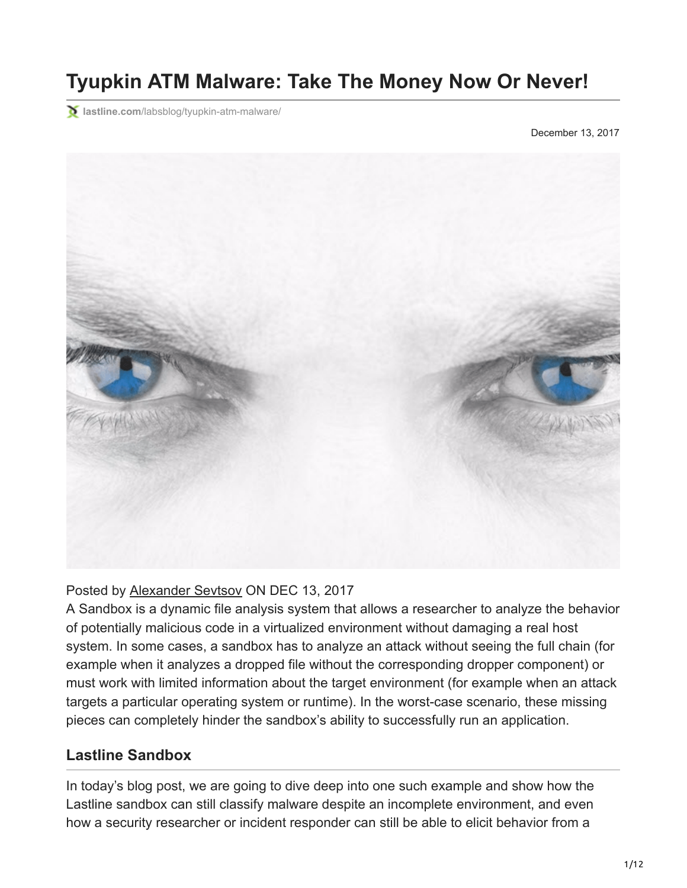# **Tyupkin ATM Malware: Take The Money Now Or Never!**

**lastline.com**[/labsblog/tyupkin-atm-malware/](https://www.lastline.com/labsblog/tyupkin-atm-malware/)

December 13, 2017



## Posted by [Alexander Sevtsov](https://www.lastline.com/author/alexander/) ON DEC 13, 2017

A Sandbox is a dynamic file analysis system that allows a researcher to analyze the behavior of potentially malicious code in a virtualized environment without damaging a real host system. In some cases, a sandbox has to analyze an attack without seeing the full chain (for example when it analyzes a dropped file without the corresponding dropper component) or must work with limited information about the target environment (for example when an attack targets a particular operating system or runtime). In the worst-case scenario, these missing pieces can completely hinder the sandbox's ability to successfully run an application.

## **Lastline Sandbox**

In today's blog post, we are going to dive deep into one such example and show how the Lastline sandbox can still classify malware despite an incomplete environment, and even how a security researcher or incident responder can still be able to elicit behavior from a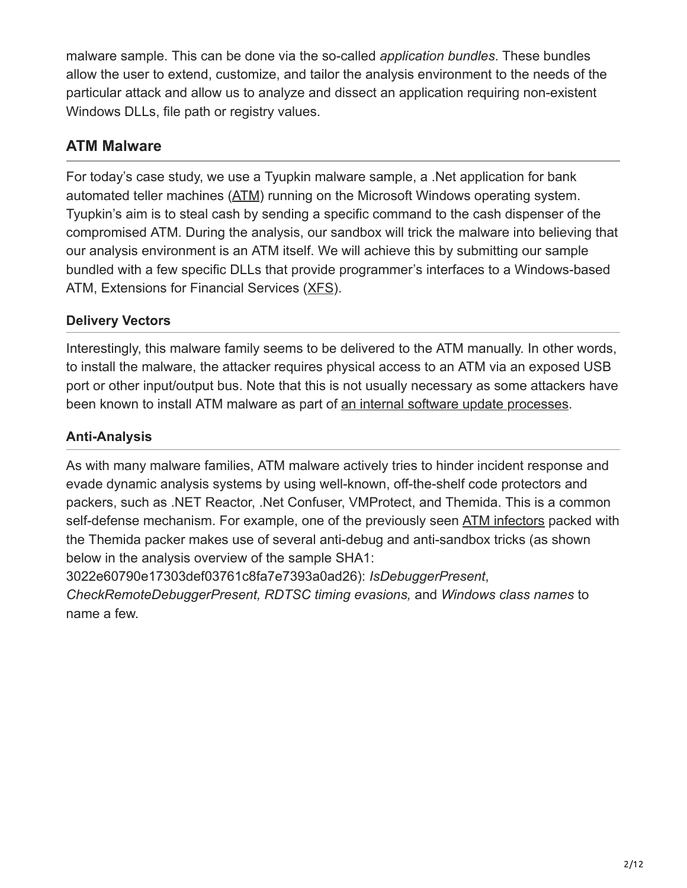malware sample. This can be done via the so-called *application bundles*. These bundles allow the user to extend, customize, and tailor the analysis environment to the needs of the particular attack and allow us to analyze and dissect an application requiring non-existent Windows DLLs, file path or registry values.

# **ATM Malware**

For today's case study, we use a Tyupkin malware sample, a .Net application for bank automated teller machines ([ATM\)](https://en.wikipedia.org/wiki/Automated_teller_machine) running on the Microsoft Windows operating system. Tyupkin's aim is to steal cash by sending a specific command to the cash dispenser of the compromised ATM. During the analysis, our sandbox will trick the malware into believing that our analysis environment is an ATM itself. We will achieve this by submitting our sample bundled with a few specific DLLs that provide programmer's interfaces to a Windows-based ATM, Extensions for Financial Services [\(XFS\)](https://en.wikipedia.org/wiki/CEN/XFS).

# **Delivery Vectors**

Interestingly, this malware family seems to be delivered to the ATM manually. In other words, to install the malware, the attacker requires physical access to an ATM via an exposed USB port or other input/output bus. Note that this is not usually necessary as some attackers have been known to install ATM malware as part of [an internal software update processes.](https://www.bankinfosecurity.com/atm-hackers-double-down-on-remote-malware-attacks-a-10338)

# **Anti-Analysis**

As with many malware families, ATM malware actively tries to hinder incident response and evade dynamic analysis systems by using well-known, off-the-shelf code protectors and packers, such as .NET Reactor, .Net Confuser, VMProtect, and Themida. This is a common self-defense mechanism. For example, one of the previously seen [ATM infectors](https://securelist.com/atm-infector/74772/) packed with the Themida packer makes use of several anti-debug and anti-sandbox tricks (as shown below in the analysis overview of the sample SHA1:

3022e60790e17303def03761c8fa7e7393a0ad26): *IsDebuggerPresent*,

*CheckRemoteDebuggerPresent, RDTSC timing evasions,* and *Windows class names* to name a few.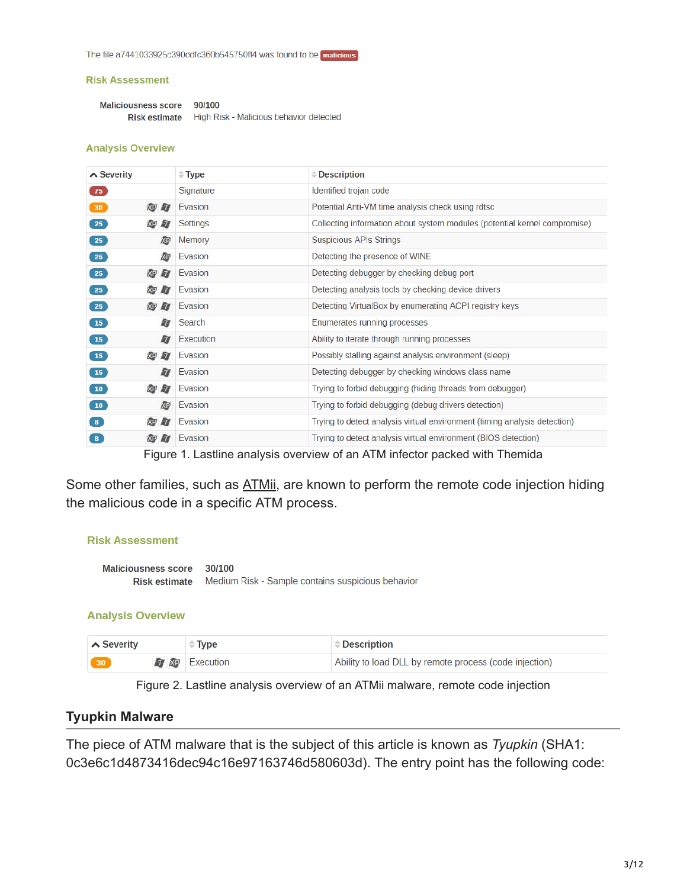The file a7441033925c390ddfc360b545750ff4 was found to be malicious

#### **Risk Assessment**

Maliciousness score 90/100 Risk estimate High Risk - Malicious behavior detected

#### **Analysis Overview**

| $\triangle$ Severity               | $\div$ Type | $\triangle$ Description                                                   |
|------------------------------------|-------------|---------------------------------------------------------------------------|
| 75                                 | Signature   | Identified trojan code                                                    |
| XP 77<br>30                        | Evasion     | Potential Anti-VM time analysis check using rdtsc                         |
| <b>XP 77</b><br>25                 | Settings    | Collecting information about system modules (potential kernel compromise) |
| XP<br>25                           | Memory      | <b>Suspicious APIs Strings</b>                                            |
| 25<br>XP                           | Evasion     | Detecting the presence of WINE                                            |
| <b>XP 77</b><br>25                 | Evasion     | Detecting debugger by checking debug port                                 |
| <b>XP 7</b><br>25                  | Evasion     | Detecting analysis tools by checking device drivers                       |
| <b>XP 77</b><br>25                 | Evasion     | Detecting VirtualBox by enumerating ACPI registry keys                    |
| 77<br>15                           | Search      | Enumerates running processes                                              |
| $\overline{7}$<br>15               | Execution   | Ability to iterate through running processes                              |
| <b>XP 7</b><br>$\boxed{15}$        | Evasion     | Possibly stalling against analysis environment (sleep)                    |
| $\overline{7}$<br>15               | Evasion     | Detecting debugger by checking windows class name                         |
| <b>XP 7</b><br>10                  | Evasion     | Trying to forbid debugging (hiding threads from debugger)                 |
| XP<br>$\boxed{10}$                 | Evasion     | Trying to forbid debugging (debug drivers detection)                      |
| <b>XP 77</b><br>$\left( 3 \right)$ | Evasion     | Trying to detect analysis virtual environment (timing analysis detection) |
| XP 7<br>8                          | Evasion     | Trying to detect analysis virtual environment (BIOS detection)            |

Figure 1. Lastline analysis overview of an ATM infector packed with Themida

Some other families, such as [ATMii](https://securelist.com/atmii-a-small-but-effective-atm-robber/82707/), are known to perform the remote code injection hiding the malicious code in a specific ATM process.

## **Risk Assessment**

Maliciousness score 30/100 Risk estimate Medium Risk - Sample contains suspicious behavior

## **Analysis Overview**

| $\sim$ Severity | <b>Type</b>            | <b>Description</b>                                     |
|-----------------|------------------------|--------------------------------------------------------|
| 30              | <b>77 XP Execution</b> | Ability to load DLL by remote process (code injection) |

Figure 2. Lastline analysis overview of an ATMii malware, remote code injection

## **Tyupkin Malware**

The piece of ATM malware that is the subject of this article is known as *Tyupkin* (SHA1: 0c3e6c1d4873416dec94c16e97163746d580603d). The entry point has the following code: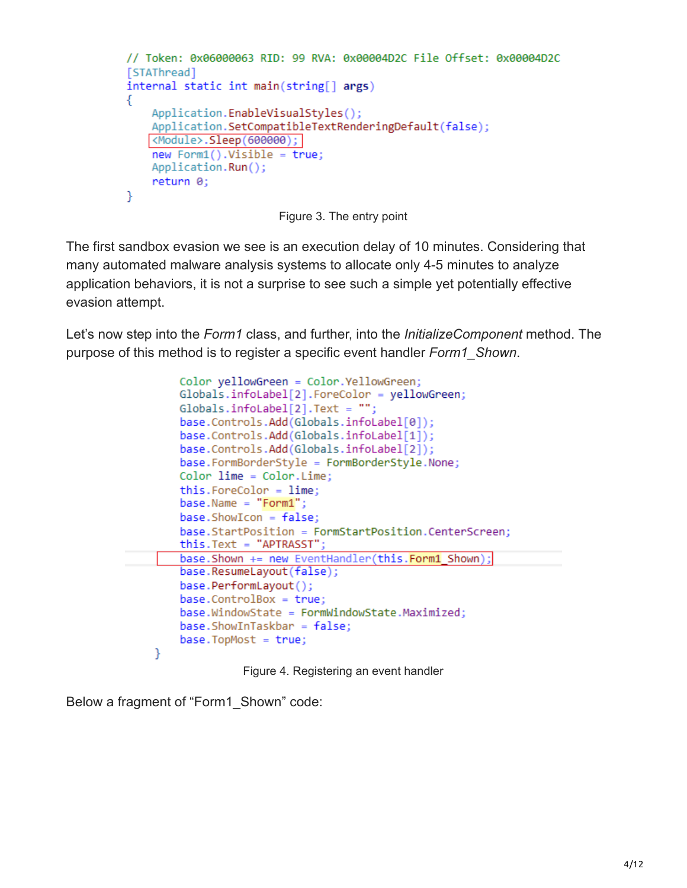```
// Token: 0x06000063 RID: 99 RVA: 0x00004D2C File Offset: 0x00004D2C
[STAThread]
internal static int main(string[] args)
€
    Application.EnableVisualStyles();
    Application.SetCompatibleTextRenderingDefault(false);
   <Module>.Sleep(600000);
    new Form1(). Visible = true;
    Application.Run();
    return 0:
ł
```
Figure 3. The entry point

The first sandbox evasion we see is an execution delay of 10 minutes. Considering that many automated malware analysis systems to allocate only 4-5 minutes to analyze application behaviors, it is not a surprise to see such a simple yet potentially effective evasion attempt.

Let's now step into the *Form1* class, and further, into the *InitializeComponent* method. The purpose of this method is to register a specific event handler *Form1\_Shown*.

```
Color yellowGreen = Color. YellowGreen;
   Globals.infoLabel[2].ForeColor = yellowGreen;
    Globals.infolabel[2].Text = "";base.Controls.Add(Globals.infoLabel[0]);
    base.Controls.Add(Globals.infoLabel[1]);
    base.Controls.Add(Globals.infoLabel[2]);
    base.FormBorderStyle = FormBorderStyle.None;
   Color lime = Color. Lime;
    this.ForeColor = lime:baseName = "Form1";base.ShowLeon = false;base.StartPosition = FormStartPosition.CenterScreen;
   this. Text = "APTRASST";
    base. Shown += new EventHandler(this. Form1 Shown);
    base.ResumeLayout(false);
    base.PerformLayout();
    base.ControlBox = true;base.WindowState = FormWindowState.Maximized:
   base.ShowInTaskbar = false;base.TopMost = true;Y
             Figure 4. Registering an event handler
```
Below a fragment of "Form1\_Shown" code: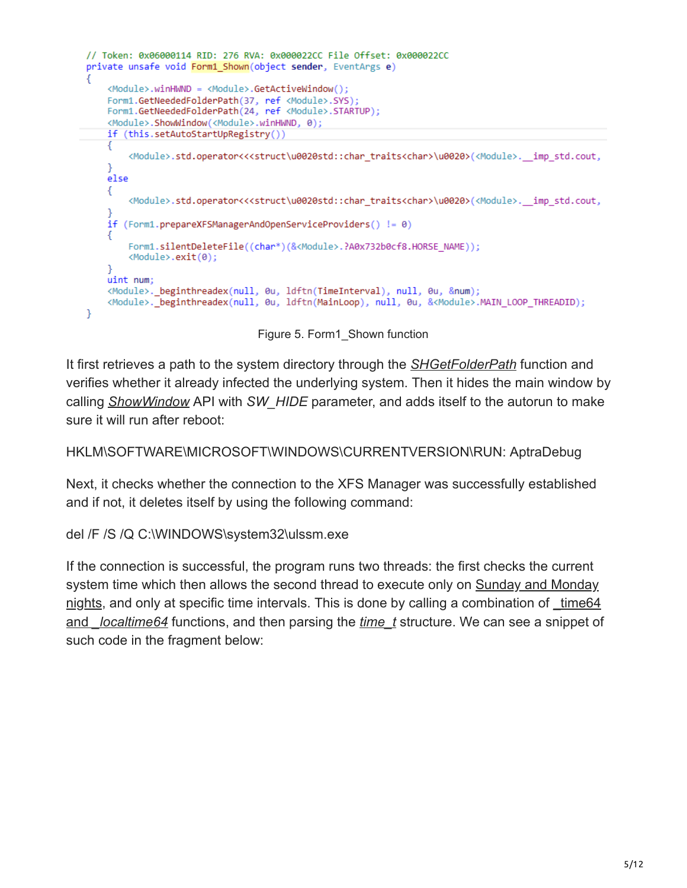```
// Token: 0x06000114 RID: 276 RVA: 0x000022CC File Offset: 0x000022CC
private unsafe void Form1_Shown(object sender, EventArgs e)
₹
    <Module>.winHWND = <Module>.GetActiveWindow();
    Form1.GetNeededFolderPath(37, ref <Module>.SYS);
   Form1.GetNeededFolderPath(24, ref <Module>.STARTUP);
    <Module>.ShowWindow(<Module>.winHWND, 0);
    if (this.setAutoStartUpRegistry())
    €
       <Module>.std.operator<<<struct\u0020std::char_traits<char>\u0020>(<Module>. imp_std.cout,
    ŀ
    else
    ſ.
       <Module>.std.operator<<<struct\u0020std::char_traits<char>\u0020>(<Module>. imp_std.cout,
    if (Form1.prepareXFSManagerAndOpenServiceProviders() != 0)
       Form1.silentDeleteFile((char*)(&<Module>.?A0x732b0cf8.HORSE NAME));
       <Module>.exit(0);
   uint num;
    <Module>._beginthreadex(null, 0u, ldftn(TimeInterval), null, 0u, &num);
    <Module>. beginthreadex(null, 0u, ldftn(MainLoop), null, 0u, &<Module>.MAIN LOOP THREADID);
Y
```
Figure 5. Form1\_Shown function

It first retrieves a path to the system directory through the *[SHGetFolderPath](https://msdn.microsoft.com/en-us/library/windows/desktop/bb762181(v=vs.85).aspx)* function and verifies whether it already infected the underlying system. Then it hides the main window by calling *[ShowWindow](https://msdn.microsoft.com/en-us/library/windows/desktop/ms633548(v=vs.85).aspx)* API with *SW\_HIDE* parameter, and adds itself to the autorun to make sure it will run after reboot:

## HKLM\SOFTWARE\MICROSOFT\WINDOWS\CURRENTVERSION\RUN: AptraDebug

Next, it checks whether the connection to the XFS Manager was successfully established and if not, it deletes itself by using the following command:

del /F /S /Q C:\WINDOWS\system32\ulssm.exe

If the connection is successful, the program runs two threads: the first checks the current [system time which then allows the second thread to execute only on Sunday and Monday](https://securelist.com/tyupkin-manipulating-atm-machines-with-malware/66988/) nights, and only at specific time intervals. This is done by calling a combination of time 64 and *[\\_localtime64](https://msdn.microsoft.com/en-us/library/1f4c8f33.aspx)* functions, and then parsing the *[time\\_t](http://www.cplusplus.com/reference/ctime/time/)* structure. We can see a snippet of such code in the fragment below: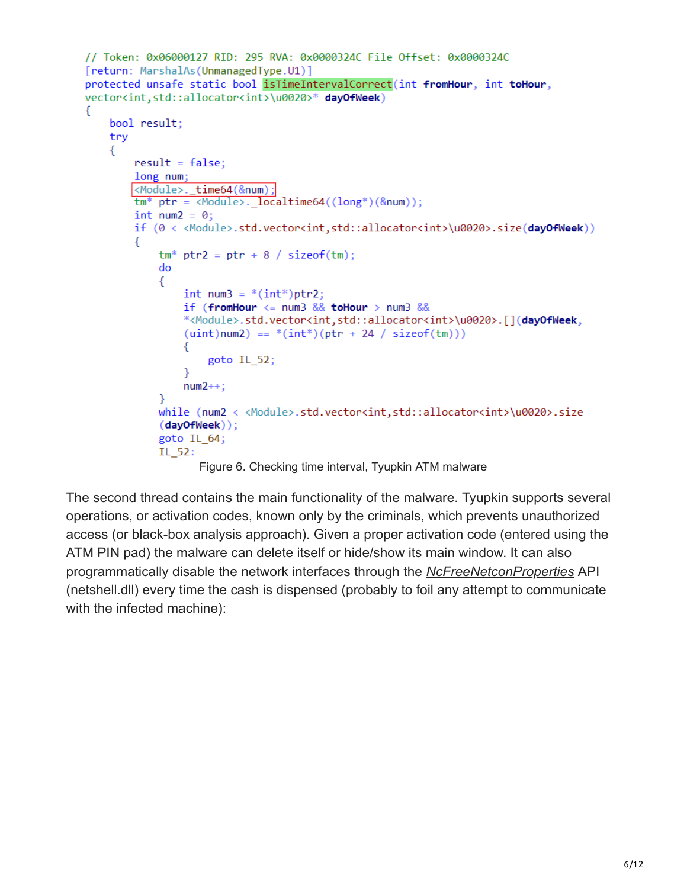```
// Token: 0x06000127 RID: 295 RVA: 0x0000324C File Offset: 0x0000324C
[return: MarshalAs(UnmanagedType.U1)]
protected unsafe static bool isTimeIntervalCorrect(int fromHour, int toHour,
vector<int,std::allocator<int>\u0020>* dayOfWeek)
€
    bool result;
    try
    €
        result = false;long num;
       <Module>._time64(&num);
        tm^* ptr = <Module>. localtime64((long*)(&num));
        int num2 = 0;if (0 < <Module>.std.vector<int,std::allocator<int>\u0020>.size(dayOfWeek))
        ſ
            tm^* ptr2 = ptr + 8 / sizeof(tm);
            do
            €
                int num3 = *(int*)ptr2;if (fromHour \leq num3 && toHour > num3 &&
                *<Module>.std.vector<int,std::allocator<int>\u0020>.[](dayOfWeek,
                (iint)num2) == *(int*)(ptr + 24 / sizeof(tm)))₹
                    goto IL_52;
                P.
                num2++;Y
            while (num2 < <Module>.std.vector<int,std::allocator<int>\u0020>.size
            (day0fWeek));
            goto IL_64;
            IL 52:
```


The second thread contains the main functionality of the malware. Tyupkin supports several operations, or activation codes, known only by the criminals, which prevents unauthorized access (or black-box analysis approach). Given a proper activation code (entered using the ATM PIN pad) the malware can delete itself or hide/show its main window. It can also programmatically disable the network interfaces through the *[NcFreeNetconProperties](https://msdn.microsoft.com/en-us/library/windows/desktop/aa366190(v=vs.85).aspx)* API (netshell.dll) every time the cash is dispensed (probably to foil any attempt to communicate with the infected machine):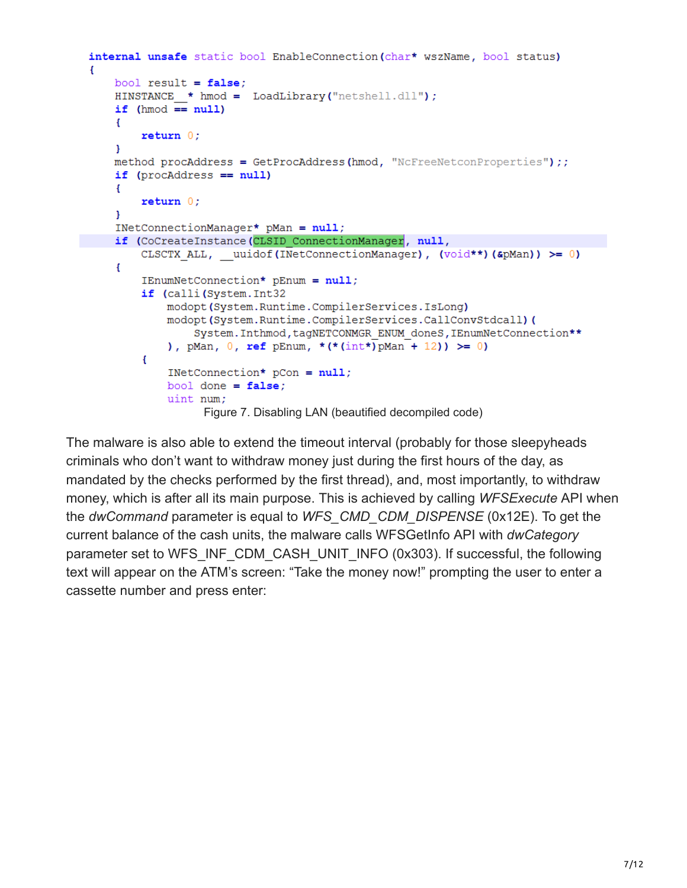```
internal unsafe static bool EnableConnection (char* wszName, bool status)
    bool result = false:
    HINSTANCE * hmod = LoadLibrary("netshell.dll");
    if (hmod == null)
    Ŧ
        return 0;
    -1
   method procAddress = GetProcAddress(hmod, "NcFreeNetconProperties");;
    if (procAddress == null)
    Ł
        return 0;Ŧ.
    INetConnectionManager* pMan = null;if (CoCreateInstance(CLSID ConnectionManager, null,
        CLSCTX ALL, uuidof (INetConnectionManager), (void**) (&pMan)) >= 0)
    \mathbf{f}IEnumNetConnection* pEnum = null;if (calli(System.Int32
            modopt (System.Runtime.CompilerServices.IsLong)
            modopt(System.Runtime.CompilerServices.CallConvStdcall)(
                System. Inthmod, tagNETCONMGR ENUM doneS, IEnumNetConnection **
            ), pMan, 0, ref pEnum, *(*(int*)pMan + 12)) >= 0)
        \left\{ \right.INetConnection* pCon = null;bool done = false:
            uint num;
                  Figure 7. Disabling LAN (beautified decompiled code)
```
The malware is also able to extend the timeout interval (probably for those sleepyheads criminals who don't want to withdraw money just during the first hours of the day, as mandated by the checks performed by the first thread), and, most importantly, to withdraw money, which is after all its main purpose. This is achieved by calling *WFSExecute* API when the *dwCommand* parameter is equal to *WFS\_CMD\_CDM\_DISPENSE* (0x12E). To get the current balance of the cash units, the malware calls WFSGetInfo API with *dwCategory* parameter set to WFS\_INF\_CDM\_CASH\_UNIT\_INFO (0x303). If successful, the following text will appear on the ATM's screen: "Take the money now!" prompting the user to enter a cassette number and press enter: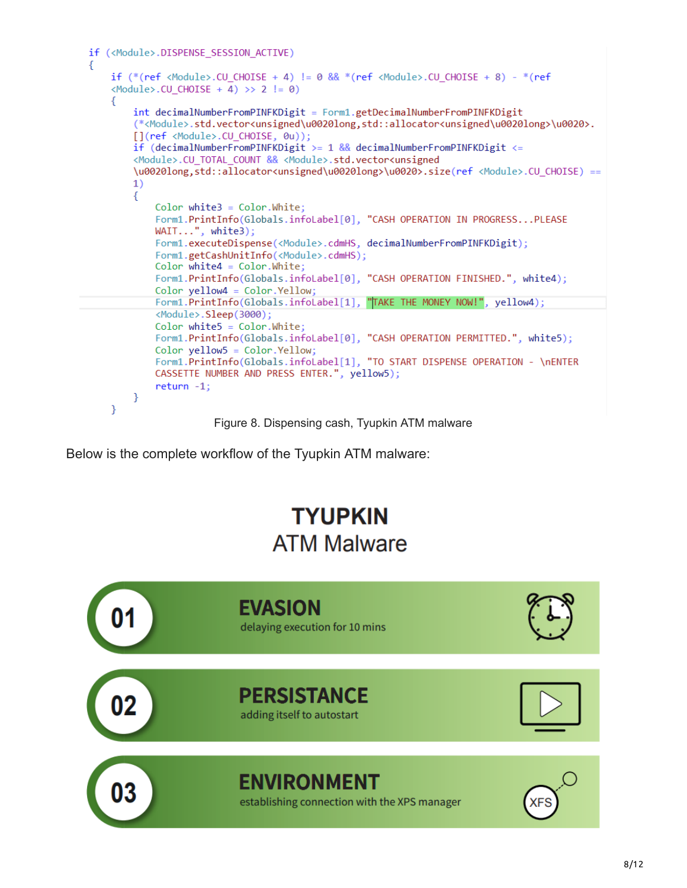| if ( <module>.DISPENSE_SESSION_ACTIVE)<br/>€</module>                                                                                                                                                                                                                           |  |
|---------------------------------------------------------------------------------------------------------------------------------------------------------------------------------------------------------------------------------------------------------------------------------|--|
| if $(*$ (ref <module>.CU CHOISE + 4) != 0 &amp;&amp; <math>*(ref</math> <module>.CU CHOISE + 8) - <math>*(ref</math><br/><math>\langle \text{Module} \rangle</math>.CU CHOISE + 4) &gt;&gt; 2 != 0)</module></module>                                                           |  |
| Ł                                                                                                                                                                                                                                                                               |  |
| int decimalNumberFromPINFKDigit = Form1.getDecimalNumberFromPINFKDigit<br>(* <module>.std.vector<unsigned\u0020long,std::allocator<unsigned\u0020long>\u0020&gt;.<br/>[](ref <module>.CU CHOISE, 0u));</module></unsigned\u0020long,std::allocator<unsigned\u0020long></module> |  |
| if (decimalNumberFromPINFKDigit >= $1$ && decimalNumberFromPINFKDigit <=<br><module>.CU_TOTAL_COUNT &amp;&amp; <module>.std.vector<unsigned< td=""><td></td></unsigned<></module></module>                                                                                      |  |
| \u0020long,std::allocator <unsigned\u0020long>\u0020&gt;.size(ref <module>.CU CHOISE) ==</module></unsigned\u0020long>                                                                                                                                                          |  |
| 1)                                                                                                                                                                                                                                                                              |  |
| €<br>$Color white3 = Color.White;$                                                                                                                                                                                                                                              |  |
| Form1.PrintInfo(Globals.infoLabel[0], "CASH OPERATION IN PROGRESSPLEASE<br>WAIT", while 3);                                                                                                                                                                                     |  |
| Form1.executeDispense( <module>.cdmHS, decimalNumberFromPINFKDigit);<br/>Form1.getCashUnitInfo(<module>.cdmHS);</module></module>                                                                                                                                               |  |
| $Color white4 = Color. White;$                                                                                                                                                                                                                                                  |  |
| Form1.PrintInfo(Globals.infoLabel[0], "CASH OPERATION FINISHED.", white4);<br>$Color$ yellow $4 = Color$ . Yellow;                                                                                                                                                              |  |
| Form1.PrintInfo(Globals.infoLabel[1], "TAKE THE MONEY NOW!", yellow4);                                                                                                                                                                                                          |  |
| <module>.Sleep(3000);</module>                                                                                                                                                                                                                                                  |  |
| $Color white5 = Color.White;$                                                                                                                                                                                                                                                   |  |
| Form1.PrintInfo(Globals.infoLabel[0], "CASH OPERATION PERMITTED.", white5);                                                                                                                                                                                                     |  |
| $Color$ vellow $5 = Color$ . Yellow:<br>Form1.PrintInfo(Globals.infoLabel[1], "TO START DISPENSE OPERATION - \nENTER<br>CASSETTE NUMBER AND PRESS ENTER.", yellow5);                                                                                                            |  |
| $return -1;$                                                                                                                                                                                                                                                                    |  |
| ł<br>}                                                                                                                                                                                                                                                                          |  |
|                                                                                                                                                                                                                                                                                 |  |

Figure 8. Dispensing cash, Tyupkin ATM malware

Below is the complete workflow of the Tyupkin ATM malware:

# **TYUPKIN ATM Malware**

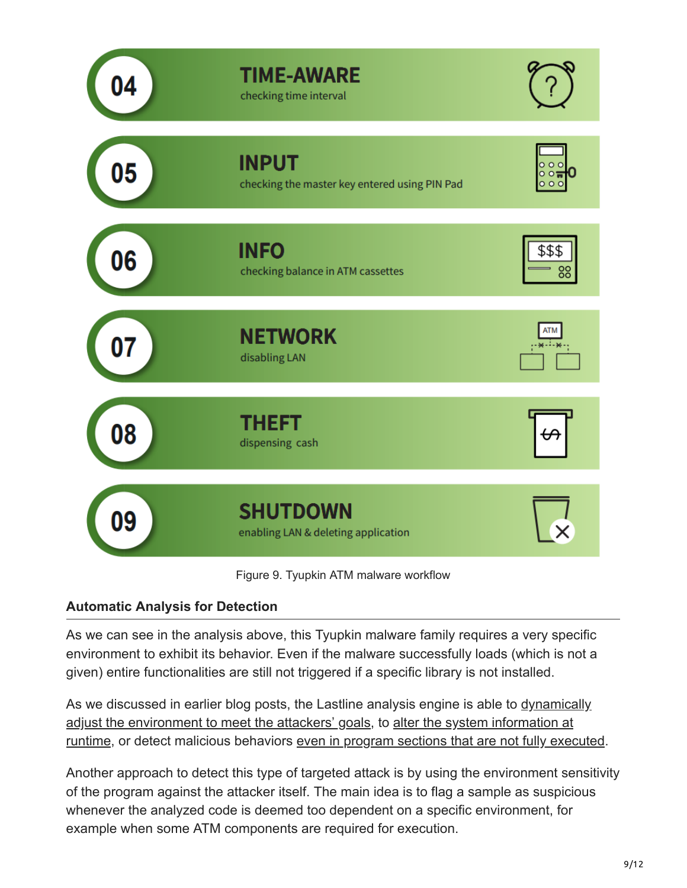

Figure 9. Tyupkin ATM malware workflow

# **Automatic Analysis for Detection**

As we can see in the analysis above, this Tyupkin malware family requires a very specific environment to exhibit its behavior. Even if the malware successfully loads (which is not a given) entire functionalities are still not triggered if a specific library is not installed.

[As we discussed in earlier blog posts, the Lastline analysis engine is able to dynamically](https://www.lastline.com/labsblog/lifting-the-seams-of-the-shifu-patchwork-malware/) adjust the environment to meet the attackers' goals, to alter the system information at [runtime, or detect malicious behaviors even in program sections that are not fully exe](https://www.lastline.com/labsblog/does-dyre-malware-play-nice-in-your-sandbox/)[cuted](https://www.lastline.com/labsblog/awakening-dormant-functionality-in-malware-programs/).

Another approach to detect this type of targeted attack is by using the environment sensitivity of the program against the attacker itself. The main idea is to flag a sample as suspicious whenever the analyzed code is deemed too dependent on a specific environment, for example when some ATM components are required for execution.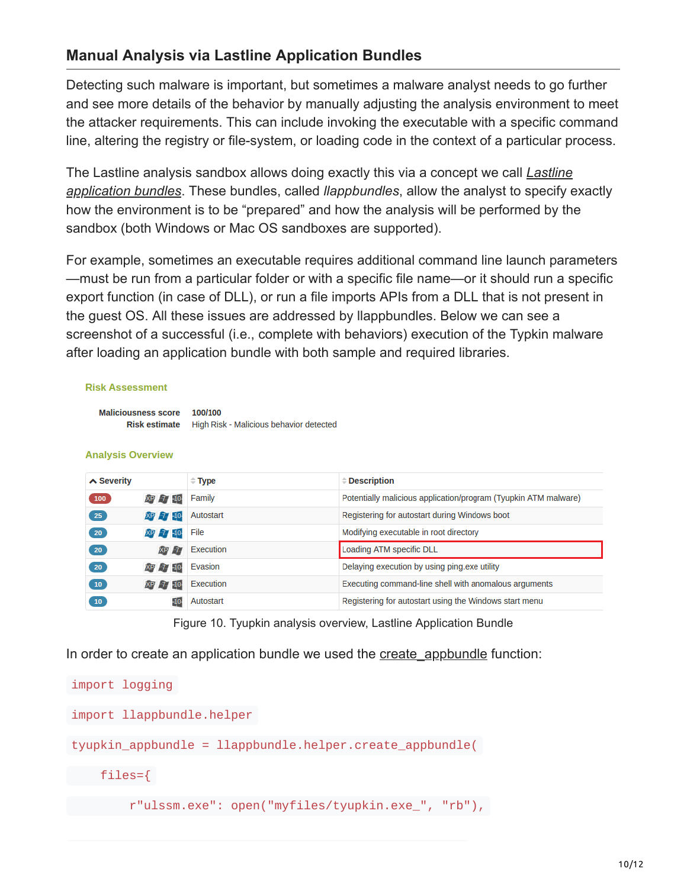# **Manual Analysis via Lastline Application Bundles**

Detecting such malware is important, but sometimes a malware analyst needs to go further and see more details of the behavior by manually adjusting the analysis environment to meet the attacker requirements. This can include invoking the executable with a specific command line, altering the registry or file-system, or loading code in the context of a particular process.

[The Lastline analysis sandbox allows doing exactly this via a concept we call](https://analysis.www.lastline.com/analyst-api-docs/html/analysis_client_application_bundles.html#api-client-application-bundles) *Lastline application bundles*. These bundles, called *llappbundles*, allow the analyst to specify exactly how the environment is to be "prepared" and how the analysis will be performed by the sandbox (both Windows or Mac OS sandboxes are supported).

For example, sometimes an executable requires additional command line launch parameters —must be run from a particular folder or with a specific file name—or it should run a specific export function (in case of DLL), or run a file imports APIs from a DLL that is not present in the guest OS. All these issues are addressed by llappbundles. Below we can see a screenshot of a successful (i.e., complete with behaviors) execution of the Typkin malware after loading an application bundle with both sample and required libraries.

## **Risk Assessment**

Maliciousness score 100/100 Risk estimate High Risk - Malicious behavior detected

## **Analysis Overview**

| $\triangle$ Severity |                 | $\hat{=}$ Type | $\hat{=}$ Description                                           |
|----------------------|-----------------|----------------|-----------------------------------------------------------------|
| 100                  | XP 77 10        | Family         | Potentially malicious application/program (Tyupkin ATM malware) |
| 25                   | XP 77 10        | Autostart      | Registering for autostart during Windows boot                   |
| 20 <sup>2</sup>      | XP -7 -10       | File           | Modifying executable in root directory                          |
| 20                   | XP              | Execution      | Loading ATM specific DLL                                        |
| 20 <sup>2</sup>      | XP 7 10         | Evasion        | Delaying execution by using ping.exe utility                    |
| 10                   | XP 77 10        | Execution      | Executing command-line shell with anomalous arguments           |
| 10 <sup>7</sup>      | 10 <sub>1</sub> | Autostart      | Registering for autostart using the Windows start menu          |

Figure 10. Tyupkin analysis overview, Lastline Application Bundle

In order to create an application bundle we used the create appbundle function:

```
import logging
import llappbundle.helper
tyupkin_appbundle = llappbundle.helper.create_appbundle(
    files={
        r"ulssm.exe": open("myfiles/tyupkin.exe_", "rb"),
```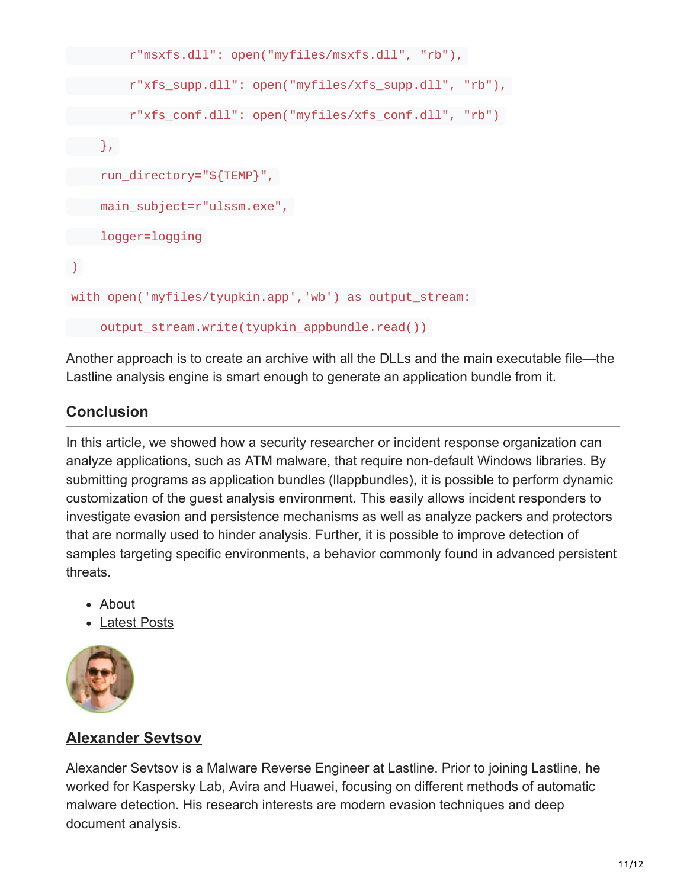```
r"msxfs.dll": open("myfiles/msxfs.dll", "rb"),
        r"xfs_supp.dll": open("myfiles/xfs_supp.dll", "rb"),
        r"xfs_conf.dll": open("myfiles/xfs_conf.dll", "rb")
   },
    run_directory="${TEMP}",
    main_subject=r"ulssm.exe",
    logger=logging
\sumwith open('myfiles/tyupkin.app','wb') as output_stream:
    output_stream.write(tyupkin_appbundle.read())
```
Another approach is to create an archive with all the DLLs and the main executable file—the Lastline analysis engine is smart enough to generate an application bundle from it.

# **Conclusion**

In this article, we showed how a security researcher or incident response organization can analyze applications, such as ATM malware, that require non-default Windows libraries. By submitting programs as application bundles (llappbundles), it is possible to perform dynamic customization of the guest analysis environment. This easily allows incident responders to investigate evasion and persistence mechanisms as well as analyze packers and protectors that are normally used to hinder analysis. Further, it is possible to improve detection of samples targeting specific environments, a behavior commonly found in advanced persistent threats.

- About
- Latest Posts



# **[Alexander Sevtsov](https://www.lastline.com/author/alexander/)**

Alexander Sevtsov is a Malware Reverse Engineer at Lastline. Prior to joining Lastline, he worked for Kaspersky Lab, Avira and Huawei, focusing on different methods of automatic malware detection. His research interests are modern evasion techniques and deep document analysis.